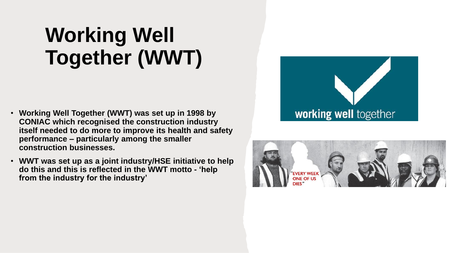### **Working Well Together (WWT)**

- **Working Well Together (WWT) was set up in 1998 by CONIAC which recognised the construction industry itself needed to do more to improve its health and safety performance – particularly among the smaller construction businesses.**
- **WWT was set up as a joint industry/HSE initiative to help do this and this is reflected in the WWT motto - 'help from the industry for the industry'**



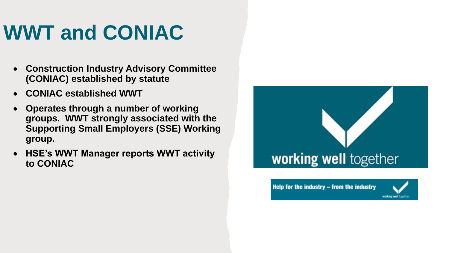### **WWT and CONIAC**

- **Construction Industry Advisory Committee (CONIAC) established by statute**
- **CONIAC established WWT**
- **Operates through a number of working groups. WWT strongly associated with the Supporting Small Employers (SSE) Working group.**
- **HSE's WWT Manager reports WWT activity to CONIAC**



Help for the industry - from the industry

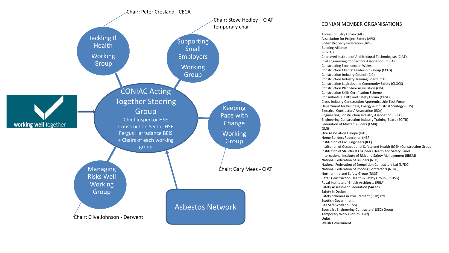

Access Industry Forum (AIF) Association for Project Safety (APS) British Property Federation (BPF) Building Alliance Build UK Chartered Institute of Architectural Technologists (CIAT) Civil Engineering Contractors Association (CECA) Constructing Excellence in Wales Construction Clients' Leadership Group (CCLG) Construction Industry Council (CIC) Construction Industry Training Board (CITB) Construction Logistics and Community Safety (CLOCS) Construction Plant-hire Association (CPA) Construction Skills Certification Scheme Consultants' Health and Safety Forum (CHSF) Cross-Industry Construction Apprenticeship Task Force Department for Business, Energy & Industrial Strategy (BEIS) Electrical Contractors' Association (ECA) Engineering Construction Industry Association (ECIA) Engineering Construction Industry Training Board (ECITB) Federation of Master Builders (FMB) GMB Hire Association Europe (HAE) Home Builders Federation (HBF) Institution of Civil Engineers (ICE) Institution of Occupational Safety and Health (IOSH) Construction Group Institution of Structural Engineers Health and Safety Panel International Institute of Risk and Safety Management (IIRSM) National Federation of Builders (NFB) National Federation of Demolition Contractors Ltd (NFDC) National Federation of Roofing Contractors (NFRC) Northern Ireland Safety Group (NISG) Retail Construction Health & Safety Group (RCHSG) Royal Institute of British Architects (RIBA) Safety Assessment Federation (SAFed) Safety in Design Safety Schemes in Procurement (SSIP) Ltd Scottish Government Site Safe Scotland (SSS) Specialist Engineering Contractors' (SEC) Group Temporary Works Forum (TWf) Unite Welsh Government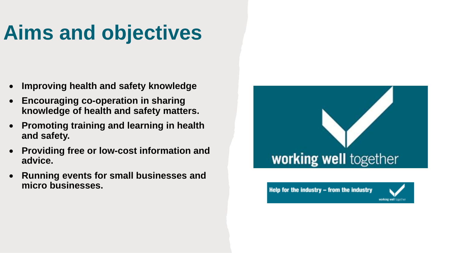### **Aims and objectives**

- **Improving health and safety knowledge**
- **Encouraging co-operation in sharing knowledge of health and safety matters.**
- **Promoting training and learning in health and safety.**
- **Providing free or low-cost information and advice.**
- **Running events for small businesses and micro businesses.**



Help for the industry - from the industry

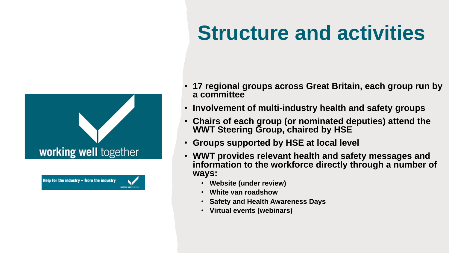## working well together

Help for the industry - from the industry working well to

### **Structure and activities**

- **17 regional groups across Great Britain, each group run by a committee**
- **Involvement of multi-industry health and safety groups**
- **Chairs of each group (or nominated deputies) attend the WWT Steering Group, chaired by HSE**
- **Groups supported by HSE at local level**
- **WWT provides relevant health and safety messages and**  information to the workforce directly through a number of **ways:**
	- **Website (under review)**
	- **White van roadshow**
	- **Safety and Health Awareness Days**
	- **Virtual events (webinars)**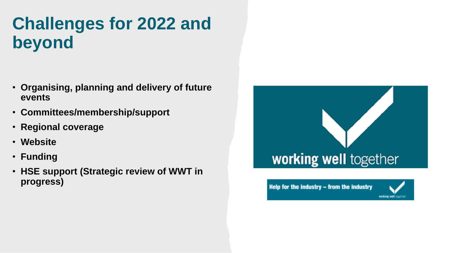#### **Challenges for 2022 and beyond**

- **Organising, planning and delivery of future events**
- **Committees/membership/support**
- **Regional coverage**
- **Website**
- **Funding**
- **HSE support (Strategic review of WWT in progress)**



Help for the industry  $-$  from the industry

working well togethe